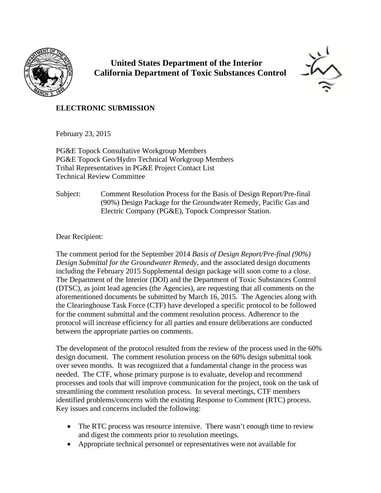

 **United States Department of the Interior California Department of Toxic Substances Control**



## **ELECTRONIC SUBMISSION**

February 23, 2015

PG&E Topock Consultative Workgroup Members PG&E Topock Geo/Hydro Technical Workgroup Members Tribal Representatives in PG&E Project Contact List Technical Review Committee

Subject: Comment Resolution Process for the Basis of Design Report/Pre-final (90%) Design Package for the Groundwater Remedy, Pacific Gas and Electric Company (PG&E), Topock Compressor Station.

Dear Recipient:

The comment period for the September 2014 *Basis of Design Report/Pre-final (90%) Design Submittal for the Groundwater Remedy,* and the associated design documents including the February 2015 Supplemental design package will soon come to a close. The Department of the Interior (DOI) and the Department of Toxic Substances Control (DTSC), as joint lead agencies (the Agencies), are requesting that all comments on the aforementioned documents be submitted by March 16, 2015. The Agencies along with the Clearinghouse Task Force (CTF) have developed a specific protocol to be followed for the comment submittal and the comment resolution process. Adherence to the protocol will increase efficiency for all parties and ensure deliberations are conducted between the appropriate parties on comments.

The development of the protocol resulted from the review of the process used in the 60% design document. The comment resolution process on the 60% design submittal took over seven months. It was recognized that a fundamental change in the process was needed. The CTF, whose primary purpose is to evaluate, develop and recommend processes and tools that will improve communication for the project, took on the task of streamlining the comment resolution process. In several meetings, CTF members identified problems/concerns with the existing Response to Comment (RTC) process. Key issues and concerns included the following:

- The RTC process was resource intensive. There wasn't enough time to review and digest the comments prior to resolution meetings.
- Appropriate technical personnel or representatives were not available for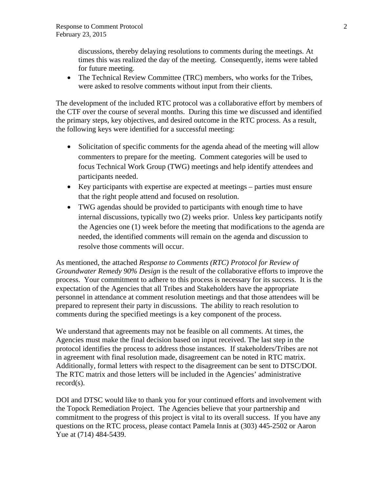discussions, thereby delaying resolutions to comments during the meetings. At times this was realized the day of the meeting. Consequently, items were tabled for future meeting.

 The Technical Review Committee (TRC) members, who works for the Tribes, were asked to resolve comments without input from their clients.

The development of the included RTC protocol was a collaborative effort by members of the CTF over the course of several months. During this time we discussed and identified the primary steps, key objectives, and desired outcome in the RTC process. As a result, the following keys were identified for a successful meeting:

- Solicitation of specific comments for the agenda ahead of the meeting will allow commenters to prepare for the meeting. Comment categories will be used to focus Technical Work Group (TWG) meetings and help identify attendees and participants needed.
- Key participants with expertise are expected at meetings parties must ensure that the right people attend and focused on resolution.
- TWG agendas should be provided to participants with enough time to have internal discussions, typically two (2) weeks prior. Unless key participants notify the Agencies one (1) week before the meeting that modifications to the agenda are needed, the identified comments will remain on the agenda and discussion to resolve those comments will occur.

As mentioned, the attached *Response to Comments (RTC) Protocol for Review of Groundwater Remedy 90% Design* is the result of the collaborative efforts to improve the process. Your commitment to adhere to this process is necessary for its success. It is the expectation of the Agencies that all Tribes and Stakeholders have the appropriate personnel in attendance at comment resolution meetings and that those attendees will be prepared to represent their party in discussions. The ability to reach resolution to comments during the specified meetings is a key component of the process.

We understand that agreements may not be feasible on all comments. At times, the Agencies must make the final decision based on input received. The last step in the protocol identifies the process to address those instances. If stakeholders/Tribes are not in agreement with final resolution made, disagreement can be noted in RTC matrix. Additionally, formal letters with respect to the disagreement can be sent to DTSC/DOI. The RTC matrix and those letters will be included in the Agencies' administrative record(s).

DOI and DTSC would like to thank you for your continued efforts and involvement with the Topock Remediation Project. The Agencies believe that your partnership and commitment to the progress of this project is vital to its overall success. If you have any questions on the RTC process, please contact Pamela Innis at (303) 445-2502 or Aaron Yue at (714) 484-5439.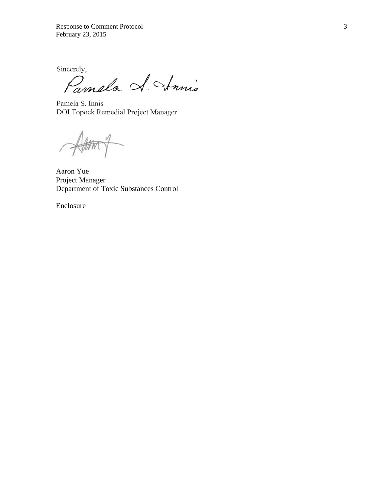Response to Comment Protocol 3 February 23, 2015

Sincerely,

Pamela A. Annis

Pamela S. Innis DOI Topock Remedial Project Manager

Atton  $\sqrt{ }$  $\overline{\phantom{0}}$ 

Aaron Yue Project Manager Department of Toxic Substances Control

Enclosure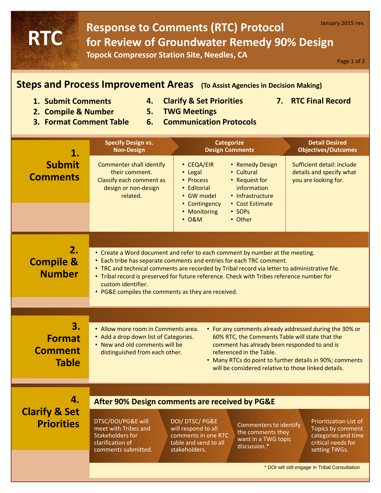## Response to Comments (RTC) Protocol **January 2015 rev. for Review of Groundwater Remedy 90% Design Topock Compressor Station Site, Needles, CA RTC**

Page 1 of 2

## **Steps and Process Improvement Areas (To Assist Agencies in Decision Making)**

- **1. Submit Comments**
- **5. TWG Meetings**
- **4. Clarify & Set Priorities 7. RTC Final Record**
- **2. Compile & Number**
- 
- **3. Format Comment Table**
- **6. Communication Protocols**

| 1.                                                    | <b>Specify Design vs.</b><br><b>Non-Design</b>                                                                                                                                                                                                                                                                                                                                                                                                                | <b>Categorize</b><br><b>Design Comments</b>                                                                                                                                                                                                  | <b>Detail Desired</b><br><b>Objectives/Outcomes</b>                                                       |  |
|-------------------------------------------------------|---------------------------------------------------------------------------------------------------------------------------------------------------------------------------------------------------------------------------------------------------------------------------------------------------------------------------------------------------------------------------------------------------------------------------------------------------------------|----------------------------------------------------------------------------------------------------------------------------------------------------------------------------------------------------------------------------------------------|-----------------------------------------------------------------------------------------------------------|--|
| <b>Submit</b><br><b>Comments</b>                      | <b>Commenter shall identify</b><br>their comment.<br>Classify each comment as<br>design or non-design<br>related.                                                                                                                                                                                                                                                                                                                                             | • CEQA/EIR<br>• Remedy Design<br>• Cultural<br>• Legal<br>• Request for<br>• Process<br>information<br>• Editorial<br>• Infrastructure<br>• GW model<br>• Contingency<br>• Cost Estimate<br>• Monitoring<br>$\cdot$ SOPs<br>• 0&M<br>• Other | Sufficient detail: include<br>details and specify what<br>you are looking for.                            |  |
|                                                       |                                                                                                                                                                                                                                                                                                                                                                                                                                                               |                                                                                                                                                                                                                                              |                                                                                                           |  |
| 2.<br><b>Compile &amp;</b><br><b>Number</b>           | • Create a Word document and refer to each comment by number at the meeting.<br>• Each tribe has separate comments and entries for each TRC comment.<br>. TRC and technical comments are recorded by Tribal record via letter to administrative file.<br>• Tribal record is preserved for future reference. Check with Tribes reference number for<br>custom identifier.<br>• PG&E compiles the comments as they are received.                                |                                                                                                                                                                                                                                              |                                                                                                           |  |
|                                                       |                                                                                                                                                                                                                                                                                                                                                                                                                                                               |                                                                                                                                                                                                                                              |                                                                                                           |  |
| 3.<br><b>Format</b><br><b>Comment</b><br><b>Table</b> | • Allow more room in Comments area.<br>• For any comments already addressed during the 30% or<br>60% RTC, the Comments Table will state that the<br>• Add a drop down list of Categories.<br>. New and old comments will be<br>comment has already been responded to and is<br>referenced in the Table.<br>distinguished from each other.<br>• Many RTCs do point to further details in 90%; comments<br>will be considered relative to those linked details. |                                                                                                                                                                                                                                              |                                                                                                           |  |
|                                                       |                                                                                                                                                                                                                                                                                                                                                                                                                                                               |                                                                                                                                                                                                                                              |                                                                                                           |  |
| 4.                                                    | After 90% Design comments are received by PG&E                                                                                                                                                                                                                                                                                                                                                                                                                |                                                                                                                                                                                                                                              |                                                                                                           |  |
| <b>Clarify &amp; Set</b><br><b>Priorities</b>         | DTSC/DOI/PG&E will<br>meet with Tribes and<br><b>Stakeholders for</b><br>clarification of<br>comments submitted.                                                                                                                                                                                                                                                                                                                                              | DOI/DTSC/PG&E<br>Commenters to identify<br>will respond to all<br>the comments they<br>comments in one RTC<br>want in a TWG topic<br>table and send to all<br>discussion.*<br>stakeholders.                                                  | Prioritization List of<br>Topics by comment<br>categories and time<br>critical needs for<br>setting TWGs. |  |
|                                                       |                                                                                                                                                                                                                                                                                                                                                                                                                                                               |                                                                                                                                                                                                                                              | * DOI will still engage in Tribal Consultation                                                            |  |